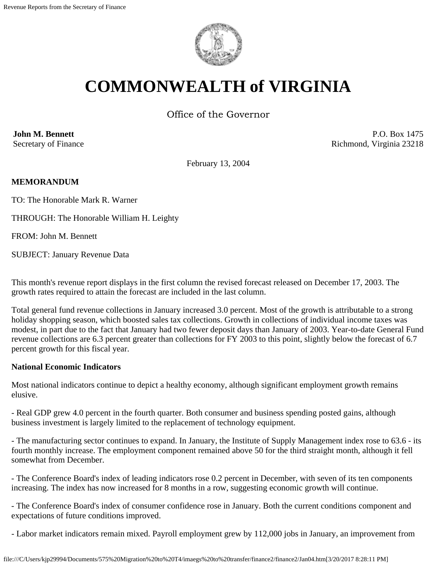

# **COMMONWEALTH of VIRGINIA**

Office of the Governor

**John M. Bennett** Secretary of Finance

P.O. Box 1475 Richmond, Virginia 23218

February 13, 2004

# **MEMORANDUM**

TO: The Honorable Mark R. Warner

THROUGH: The Honorable William H. Leighty

FROM: John M. Bennett

SUBJECT: January Revenue Data

This month's revenue report displays in the first column the revised forecast released on December 17, 2003. The growth rates required to attain the forecast are included in the last column.

Total general fund revenue collections in January increased 3.0 percent. Most of the growth is attributable to a strong holiday shopping season, which boosted sales tax collections. Growth in collections of individual income taxes was modest, in part due to the fact that January had two fewer deposit days than January of 2003. Year-to-date General Fund revenue collections are 6.3 percent greater than collections for FY 2003 to this point, slightly below the forecast of 6.7 percent growth for this fiscal year.

## **National Economic Indicators**

Most national indicators continue to depict a healthy economy, although significant employment growth remains elusive.

- Real GDP grew 4.0 percent in the fourth quarter. Both consumer and business spending posted gains, although business investment is largely limited to the replacement of technology equipment.

- The manufacturing sector continues to expand. In January, the Institute of Supply Management index rose to 63.6 - its fourth monthly increase. The employment component remained above 50 for the third straight month, although it fell somewhat from December.

- The Conference Board's index of leading indicators rose 0.2 percent in December, with seven of its ten components increasing. The index has now increased for 8 months in a row, suggesting economic growth will continue.

- The Conference Board's index of consumer confidence rose in January. Both the current conditions component and expectations of future conditions improved.

- Labor market indicators remain mixed. Payroll employment grew by 112,000 jobs in January, an improvement from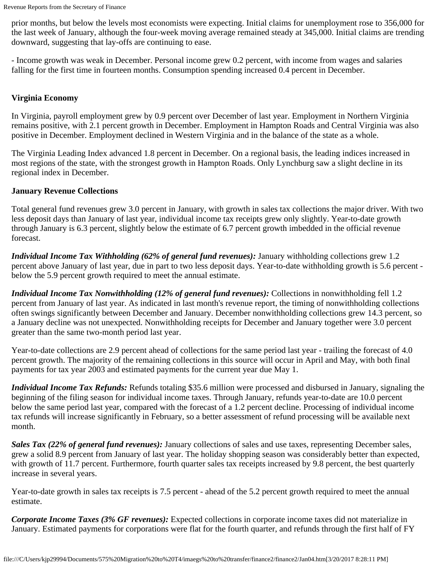prior months, but below the levels most economists were expecting. Initial claims for unemployment rose to 356,000 for the last week of January, although the four-week moving average remained steady at 345,000. Initial claims are trending downward, suggesting that lay-offs are continuing to ease.

- Income growth was weak in December. Personal income grew 0.2 percent, with income from wages and salaries falling for the first time in fourteen months. Consumption spending increased 0.4 percent in December.

# **Virginia Economy**

In Virginia, payroll employment grew by 0.9 percent over December of last year. Employment in Northern Virginia remains positive, with 2.1 percent growth in December. Employment in Hampton Roads and Central Virginia was also positive in December. Employment declined in Western Virginia and in the balance of the state as a whole.

The Virginia Leading Index advanced 1.8 percent in December. On a regional basis, the leading indices increased in most regions of the state, with the strongest growth in Hampton Roads. Only Lynchburg saw a slight decline in its regional index in December.

## **January Revenue Collections**

Total general fund revenues grew 3.0 percent in January, with growth in sales tax collections the major driver. With two less deposit days than January of last year, individual income tax receipts grew only slightly. Year-to-date growth through January is 6.3 percent, slightly below the estimate of 6.7 percent growth imbedded in the official revenue forecast.

*Individual Income Tax Withholding (62% of general fund revenues):* January withholding collections grew 1.2 percent above January of last year, due in part to two less deposit days. Year-to-date withholding growth is 5.6 percent below the 5.9 percent growth required to meet the annual estimate.

*Individual Income Tax Nonwithholding (12% of general fund revenues):* Collections in nonwithholding fell 1.2 percent from January of last year. As indicated in last month's revenue report, the timing of nonwithholding collections often swings significantly between December and January. December nonwithholding collections grew 14.3 percent, so a January decline was not unexpected. Nonwithholding receipts for December and January together were 3.0 percent greater than the same two-month period last year.

Year-to-date collections are 2.9 percent ahead of collections for the same period last year - trailing the forecast of 4.0 percent growth. The majority of the remaining collections in this source will occur in April and May, with both final payments for tax year 2003 and estimated payments for the current year due May 1.

*Individual Income Tax Refunds:* Refunds totaling \$35.6 million were processed and disbursed in January, signaling the beginning of the filing season for individual income taxes. Through January, refunds year-to-date are 10.0 percent below the same period last year, compared with the forecast of a 1.2 percent decline. Processing of individual income tax refunds will increase significantly in February, so a better assessment of refund processing will be available next month.

*Sales Tax (22% of general fund revenues):* January collections of sales and use taxes, representing December sales, grew a solid 8.9 percent from January of last year. The holiday shopping season was considerably better than expected, with growth of 11.7 percent. Furthermore, fourth quarter sales tax receipts increased by 9.8 percent, the best quarterly increase in several years.

Year-to-date growth in sales tax receipts is 7.5 percent - ahead of the 5.2 percent growth required to meet the annual estimate.

*Corporate Income Taxes (3% GF revenues):* Expected collections in corporate income taxes did not materialize in January. Estimated payments for corporations were flat for the fourth quarter, and refunds through the first half of FY